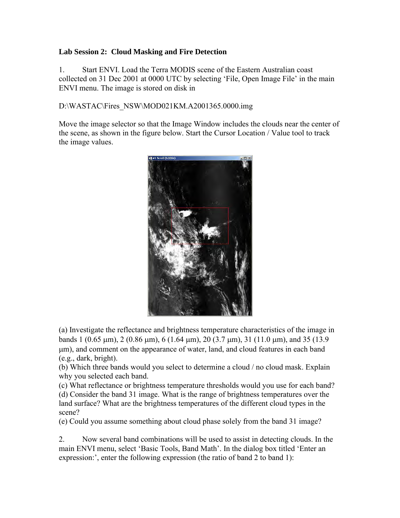## **Lab Session 2: Cloud Masking and Fire Detection**

1. Start ENVI. Load the Terra MODIS scene of the Eastern Australian coast collected on 31 Dec 2001 at 0000 UTC by selecting 'File, Open Image File' in the main ENVI menu. The image is stored on disk in

D:\WASTAC\Fires\_NSW\MOD021KM.A2001365.0000.img

Move the image selector so that the Image Window includes the clouds near the center of the scene, as shown in the figure below. Start the Cursor Location / Value tool to track the image values.



(a) Investigate the reflectance and brightness temperature characteristics of the image in bands 1 (0.65  $\mu$ m), 2 (0.86  $\mu$ m), 6 (1.64  $\mu$ m), 20 (3.7  $\mu$ m), 31 (11.0  $\mu$ m), and 35 (13.9 m), and comment on the appearance of water, land, and cloud features in each band (e.g., dark, bright).

(b) Which three bands would you select to determine a cloud / no cloud mask. Explain why you selected each band.

(c) What reflectance or brightness temperature thresholds would you use for each band? (d) Consider the band 31 image. What is the range of brightness temperatures over the land surface? What are the brightness temperatures of the different cloud types in the scene?

(e) Could you assume something about cloud phase solely from the band 31 image?

2. Now several band combinations will be used to assist in detecting clouds. In the main ENVI menu, select 'Basic Tools, Band Math'. In the dialog box titled 'Enter an expression:', enter the following expression (the ratio of band 2 to band 1):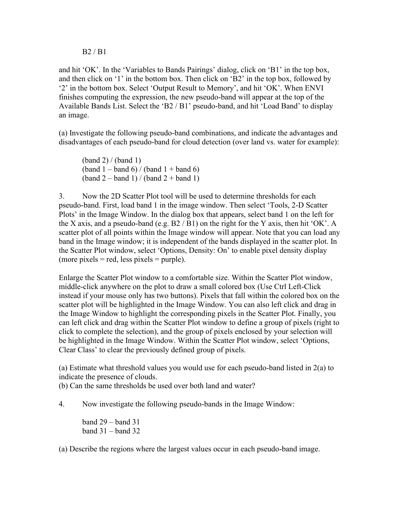## B2 / B1

and hit 'OK'. In the 'Variables to Bands Pairings' dialog, click on 'B1' in the top box, and then click on '1' in the bottom box. Then click on 'B2' in the top box, followed by '2' in the bottom box. Select 'Output Result to Memory', and hit 'OK'. When ENVI finishes computing the expression, the new pseudo-band will appear at the top of the Available Bands List. Select the 'B2 / B1' pseudo-band, and hit 'Load Band' to display an image.

(a) Investigate the following pseudo-band combinations, and indicate the advantages and disadvantages of each pseudo-band for cloud detection (over land vs. water for example):

 $(band 2) / (band 1)$ (band  $1 -$ band 6) / (band  $1 +$ band 6)  $\frac{1}{2}$  – band 1) / (band 2 + band 1)

3. Now the 2D Scatter Plot tool will be used to determine thresholds for each pseudo-band. First, load band 1 in the image window. Then select 'Tools, 2-D Scatter Plots' in the Image Window. In the dialog box that appears, select band 1 on the left for the X axis, and a pseudo-band (e.g.  $B2 / B1$ ) on the right for the Y axis, then hit 'OK'. A scatter plot of all points within the Image window will appear. Note that you can load any band in the Image window; it is independent of the bands displayed in the scatter plot. In the Scatter Plot window, select 'Options, Density: On' to enable pixel density display (more pixels  $=$  red, less pixels  $=$  purple).

Enlarge the Scatter Plot window to a comfortable size. Within the Scatter Plot window, middle-click anywhere on the plot to draw a small colored box (Use Ctrl Left-Click instead if your mouse only has two buttons). Pixels that fall within the colored box on the scatter plot will be highlighted in the Image Window. You can also left click and drag in the Image Window to highlight the corresponding pixels in the Scatter Plot. Finally, you can left click and drag within the Scatter Plot window to define a group of pixels (right to click to complete the selection), and the group of pixels enclosed by your selection will be highlighted in the Image Window. Within the Scatter Plot window, select 'Options, Clear Class' to clear the previously defined group of pixels.

(a) Estimate what threshold values you would use for each pseudo-band listed in 2(a) to indicate the presence of clouds.

(b) Can the same thresholds be used over both land and water?

4. Now investigate the following pseudo-bands in the Image Window:

band 29 – band 31 band 31 – band 32

(a) Describe the regions where the largest values occur in each pseudo-band image.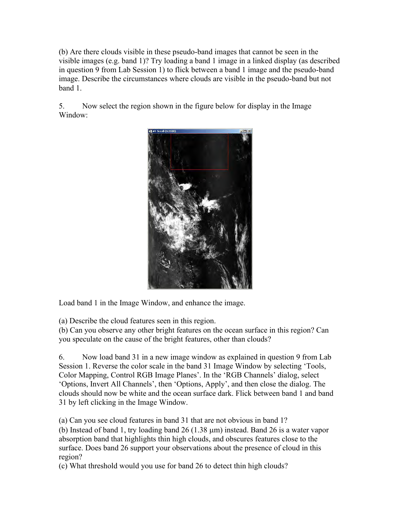(b) Are there clouds visible in these pseudo-band images that cannot be seen in the visible images (e.g. band 1)? Try loading a band 1 image in a linked display (as described in question 9 from Lab Session 1) to flick between a band 1 image and the pseudo-band image. Describe the circumstances where clouds are visible in the pseudo-band but not band 1.

5. Now select the region shown in the figure below for display in the Image Window:



Load band 1 in the Image Window, and enhance the image.

(a) Describe the cloud features seen in this region.

(b) Can you observe any other bright features on the ocean surface in this region? Can you speculate on the cause of the bright features, other than clouds?

6. Now load band 31 in a new image window as explained in question 9 from Lab Session 1. Reverse the color scale in the band 31 Image Window by selecting 'Tools, Color Mapping, Control RGB Image Planes'. In the 'RGB Channels' dialog, select 'Options, Invert All Channels', then 'Options, Apply', and then close the dialog. The clouds should now be white and the ocean surface dark. Flick between band 1 and band 31 by left clicking in the Image Window.

(a) Can you see cloud features in band 31 that are not obvious in band 1?

(b) Instead of band 1, try loading band  $26$  (1.38  $\mu$ m) instead. Band 26 is a water vapor absorption band that highlights thin high clouds, and obscures features close to the surface. Does band 26 support your observations about the presence of cloud in this region?

(c) What threshold would you use for band 26 to detect thin high clouds?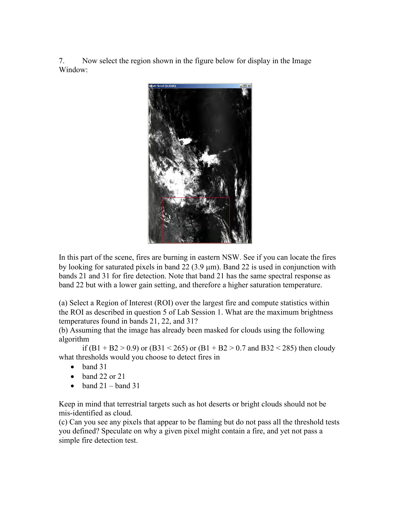7. Now select the region shown in the figure below for display in the Image Window:



In this part of the scene, fires are burning in eastern NSW. See if you can locate the fires by looking for saturated pixels in band  $22(3.9 \text{ }\mu\text{m})$ . Band  $22$  is used in conjunction with bands 21 and 31 for fire detection. Note that band 21 has the same spectral response as band 22 but with a lower gain setting, and therefore a higher saturation temperature.

(a) Select a Region of Interest (ROI) over the largest fire and compute statistics within the ROI as described in question 5 of Lab Session 1. What are the maximum brightness temperatures found in bands 21, 22, and 31?

(b) Assuming that the image has already been masked for clouds using the following algorithm

if  $(B1 + B2 > 0.9)$  or  $(B31 < 265)$  or  $(B1 + B2 > 0.7$  and  $B32 < 285)$  then cloudy what thresholds would you choose to detect fires in

- band 31
- $\bullet$  band 22 or 21
- band  $21 -$ band  $31$

Keep in mind that terrestrial targets such as hot deserts or bright clouds should not be mis-identified as cloud.

(c) Can you see any pixels that appear to be flaming but do not pass all the threshold tests you defined? Speculate on why a given pixel might contain a fire, and yet not pass a simple fire detection test.